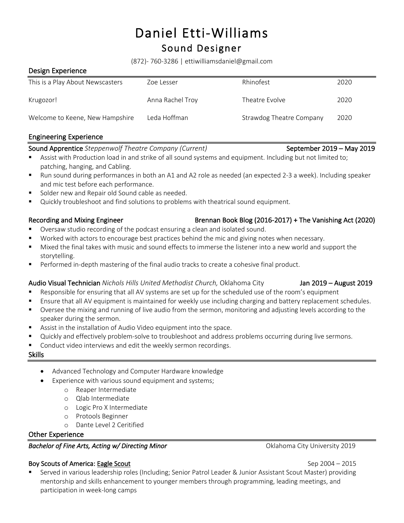# Daniel Etti-Williams<br>Sound Designer

(872)- 760-3286 | ettiwilliamsdaniel@gmail.com

#### Design Experience

| This is a Play About Newscasters | Zoe Lesser       | Rhinofest                | 2020 |
|----------------------------------|------------------|--------------------------|------|
| Krugozor!                        | Anna Rachel Troy | Theatre Evolve           | 2020 |
| Welcome to Keene, New Hampshire  | Leda Hoffman     | Strawdog Theatre Company | 2020 |

#### Engineering Experience

#### Sound Apprentice *Steppenwolf Theatre Company (Current)* September 2019 – May 2019

- Assist with Production load in and strike of all sound systems and equipment. Including but not limited to; patching, hanging, and Cabling.
- Run sound during performances in both an A1 and A2 role as needed (an expected 2-3 a week). Including speaker and mic test before each performance.
- Solder new and Repair old Sound cable as needed.
- Quickly troubleshoot and find solutions to problems with theatrical sound equipment.

#### Recording and Mixing Engineer **Brennan Book Blog (2016-2017)** + The Vanishing Act (2020)

- § Oversaw studio recording of the podcast ensuring a clean and isolated sound.
- Worked with actors to encourage best practices behind the mic and giving notes when necessary.
- Mixed the final takes with music and sound effects to immerse the listener into a new world and support the storytelling.
- Performed in-depth mastering of the final audio tracks to create a cohesive final product.

#### Audio Visual Technician *Nichols Hills United Methodist Church,* Oklahoma City Jan 2019 – August 2019

- Responsible for ensuring that all AV systems are set up for the scheduled use of the room's equipment
- **■** Ensure that all AV equipment is maintained for weekly use including charging and battery replacement schedules.
- § Oversee the mixing and running of live audio from the sermon, monitoring and adjusting levels according to the speaker during the sermon.
- Assist in the installation of Audio Video equipment into the space.
- § Quickly and effectively problem-solve to troubleshoot and address problems occurring during live sermons.
- Conduct video interviews and edit the weekly sermon recordings.

# Skills

- Advanced Technology and Computer Hardware knowledge
- Experience with various sound equipment and systems;
	- o Reaper Intermediate
		- o Qlab Intermediate
		- o Logic Pro X Intermediate
		- o Protools Beginner
		- o Dante Level 2 Ceritified

# Other Experience

# **Bachelor of Fine Arts, Acting w/ Directing Minor Call 2019 Oklahoma City University 2019**

# Boy Scouts of America: Eagle Scout Sep 2004 – 2015

§ Served in various leadership roles (Including; Senior Patrol Leader & Junior Assistant Scout Master) providing mentorship and skills enhancement to younger members through programming, leading meetings, and participation in week-long camps